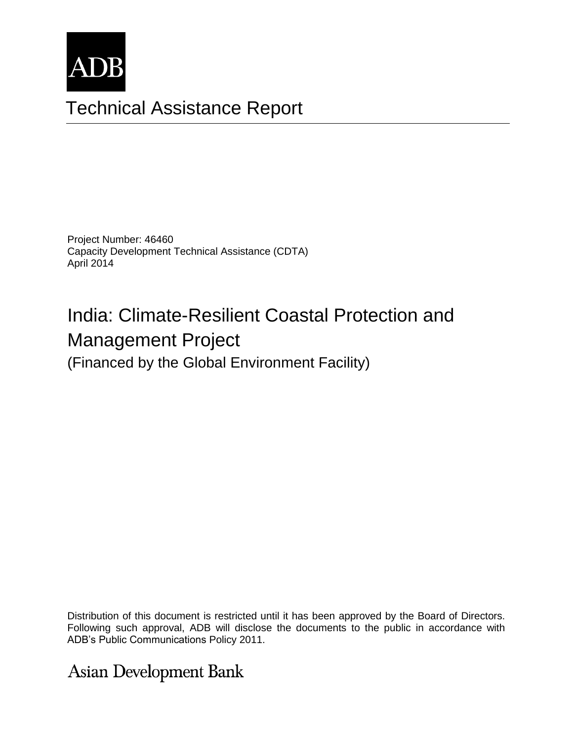

# Technical Assistance Report

Project Number: 46460 Capacity Development Technical Assistance (CDTA) April 2014

# India: Climate-Resilient Coastal Protection and Management Project

(Financed by the Global Environment Facility)

The views expressed herein are those of the consultant and do not necessarily represent those of ADB's Following such approval, ADB will disclose the documents to the public in accordance with<br>ADD's Public Communications Pelisu 2044 Distribution of this document is restricted until it has been approved by the Board of Directors. ADB's Public Communications Policy 2011.

**Asian Development Bank**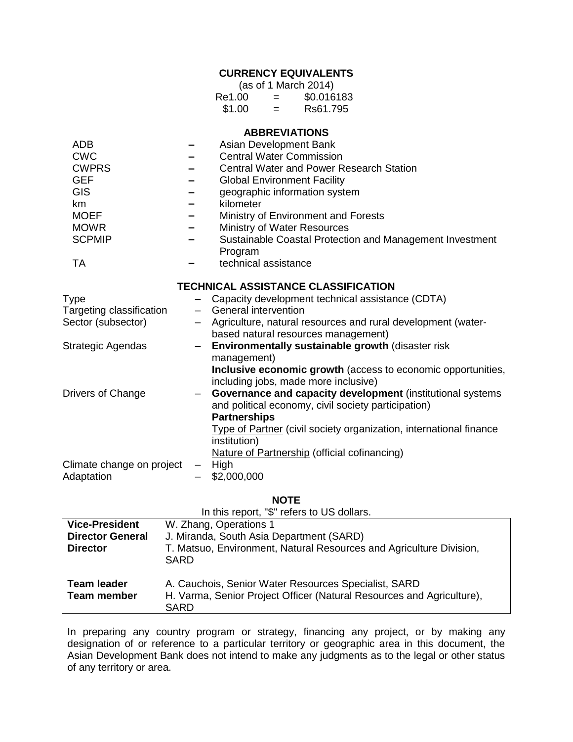# **CURRENCY EQUIVALENTS**

| (as of 1 March 2014) |     |            |  |
|----------------------|-----|------------|--|
| Re1.00               | $=$ | \$0.016183 |  |
| \$1.00               | =   | Rs61.795   |  |

#### **ABBREVIATIONS**

| <b>ADB</b>                |                                            | Asian Development Bank                                                                               |  |  |
|---------------------------|--------------------------------------------|------------------------------------------------------------------------------------------------------|--|--|
| <b>CWC</b>                |                                            | <b>Central Water Commission</b>                                                                      |  |  |
| <b>CWPRS</b>              |                                            | <b>Central Water and Power Research Station</b>                                                      |  |  |
| <b>GEF</b>                |                                            | <b>Global Environment Facility</b>                                                                   |  |  |
| <b>GIS</b>                |                                            | geographic information system                                                                        |  |  |
| km                        |                                            | kilometer                                                                                            |  |  |
| <b>MOEF</b>               |                                            | Ministry of Environment and Forests                                                                  |  |  |
| <b>MOWR</b>               |                                            | Ministry of Water Resources                                                                          |  |  |
| <b>SCPMIP</b>             |                                            | Sustainable Coastal Protection and Management Investment<br>Program                                  |  |  |
| <b>TA</b>                 |                                            | technical assistance                                                                                 |  |  |
|                           | <b>TECHNICAL ASSISTANCE CLASSIFICATION</b> |                                                                                                      |  |  |
| <b>Type</b>               |                                            | Capacity development technical assistance (CDTA)                                                     |  |  |
| Targeting classification  |                                            | General intervention                                                                                 |  |  |
| Sector (subsector)        |                                            | Agriculture, natural resources and rural development (water-                                         |  |  |
|                           |                                            | based natural resources management)                                                                  |  |  |
| Strategic Agendas         | $\qquad \qquad -$                          | Environmentally sustainable growth (disaster risk                                                    |  |  |
|                           |                                            | management)                                                                                          |  |  |
|                           |                                            | Inclusive economic growth (access to economic opportunities,<br>including jobs, made more inclusive) |  |  |
| Drivers of Change         |                                            | Governance and capacity development (institutional systems                                           |  |  |
|                           |                                            | and political economy, civil society participation)                                                  |  |  |
|                           |                                            | <b>Partnerships</b>                                                                                  |  |  |
|                           |                                            | Type of Partner (civil society organization, international finance<br>institution)                   |  |  |
|                           |                                            | <b>Nature of Partnership (official cofinancing)</b>                                                  |  |  |
| Climate change on project |                                            | High                                                                                                 |  |  |
| Adaptation                |                                            | \$2,000,000                                                                                          |  |  |
|                           |                                            |                                                                                                      |  |  |

#### **NOTE**

|                                          | In this report, "\$" refers to US dollars.                                                                                                   |
|------------------------------------------|----------------------------------------------------------------------------------------------------------------------------------------------|
| <b>Vice-President</b>                    | W. Zhang, Operations 1                                                                                                                       |
| <b>Director General</b>                  | J. Miranda, South Asia Department (SARD)                                                                                                     |
| <b>Director</b>                          | T. Matsuo, Environment, Natural Resources and Agriculture Division,<br>SARD                                                                  |
| <b>Team leader</b><br><b>Team member</b> | A. Cauchois, Senior Water Resources Specialist, SARD<br>H. Varma, Senior Project Officer (Natural Resources and Agriculture),<br><b>SARD</b> |

In preparing any country program or strategy, financing any project, or by making any designation of or reference to a particular territory or geographic area in this document, the Asian Development Bank does not intend to make any judgments as to the legal or other status of any territory or area.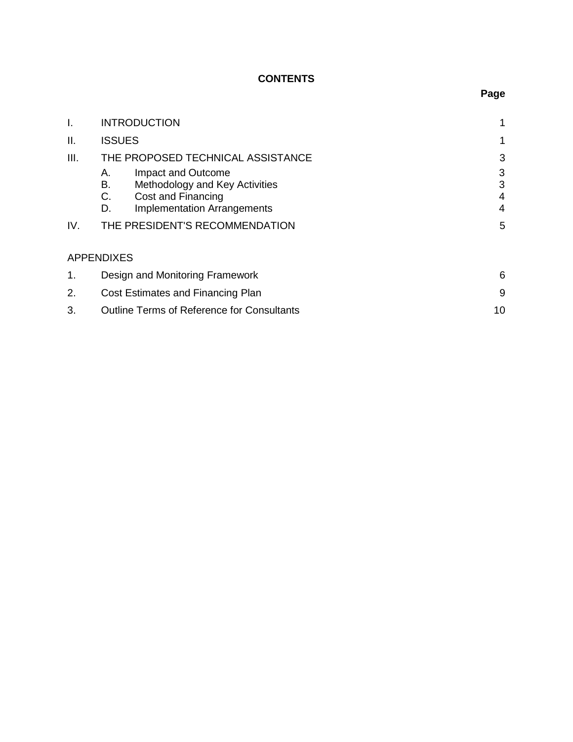# **CONTENTS**

| I.   | <b>INTRODUCTION</b>                                                                                                                      | 1                |
|------|------------------------------------------------------------------------------------------------------------------------------------------|------------------|
| ΙΙ.  | <b>ISSUES</b>                                                                                                                            | 1                |
| III. | THE PROPOSED TECHNICAL ASSISTANCE                                                                                                        | 3                |
|      | Impact and Outcome<br>А.<br>В.<br>Methodology and Key Activities<br>C.<br>Cost and Financing<br><b>Implementation Arrangements</b><br>D. | 3<br>3<br>4<br>4 |
| IV.  | THE PRESIDENT'S RECOMMENDATION                                                                                                           | 5                |
|      | <b>APPENDIXES</b>                                                                                                                        |                  |
| 1.   | Design and Monitoring Framework                                                                                                          | 6                |
| 2.   | Cost Estimates and Financing Plan                                                                                                        |                  |
| 3.   | 10<br><b>Outline Terms of Reference for Consultants</b>                                                                                  |                  |

# **Page**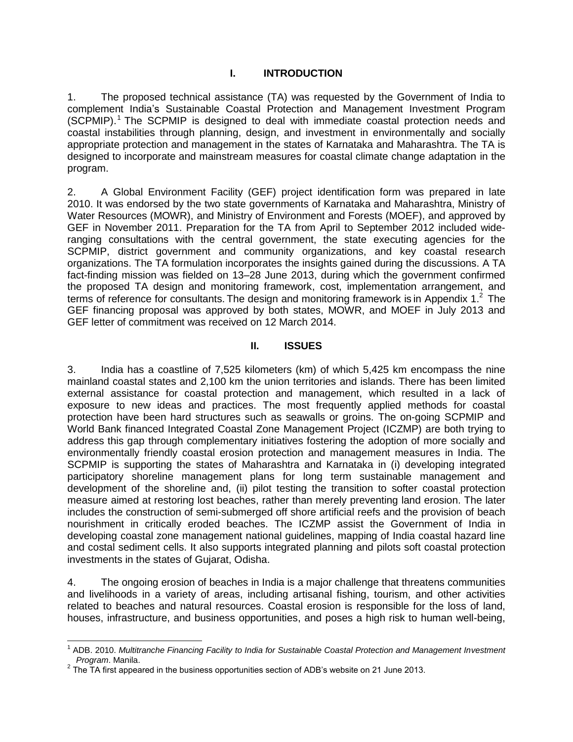#### **I. INTRODUCTION**

1. The proposed technical assistance (TA) was requested by the Government of India to complement India's Sustainable Coastal Protection and Management Investment Program (SCPMIP). <sup>1</sup> The SCPMIP is designed to deal with immediate coastal protection needs and coastal instabilities through planning, design, and investment in environmentally and socially appropriate protection and management in the states of Karnataka and Maharashtra. The TA is designed to incorporate and mainstream measures for coastal climate change adaptation in the program.

2. A Global Environment Facility (GEF) project identification form was prepared in late 2010. It was endorsed by the two state governments of Karnataka and Maharashtra, Ministry of Water Resources (MOWR), and Ministry of Environment and Forests (MOEF), and approved by GEF in November 2011. Preparation for the TA from April to September 2012 included wideranging consultations with the central government, the state executing agencies for the SCPMIP, district government and community organizations, and key coastal research organizations. The TA formulation incorporates the insights gained during the discussions. A TA fact-finding mission was fielded on 13–28 June 2013, during which the government confirmed the proposed TA design and monitoring framework, cost, implementation arrangement, and terms of reference for consultants. The design and monitoring framework is in Appendix 1. $^2$  The GEF financing proposal was approved by both states, MOWR, and MOEF in July 2013 and GEF letter of commitment was received on 12 March 2014.

#### **II. ISSUES**

3. India has a coastline of 7,525 kilometers (km) of which 5,425 km encompass the nine mainland coastal states and 2,100 km the union territories and islands. There has been limited external assistance for coastal protection and management, which resulted in a lack of exposure to new ideas and practices. The most frequently applied methods for coastal protection have been hard structures such as seawalls or groins. The on-going SCPMIP and World Bank financed Integrated Coastal Zone Management Project (ICZMP) are both trying to address this gap through complementary initiatives fostering the adoption of more socially and environmentally friendly coastal erosion protection and management measures in India. The SCPMIP is supporting the states of Maharashtra and Karnataka in (i) developing integrated participatory shoreline management plans for long term sustainable management and development of the shoreline and, (ii) pilot testing the transition to softer coastal protection measure aimed at restoring lost beaches, rather than merely preventing land erosion. The later includes the construction of semi-submerged off shore artificial reefs and the provision of beach nourishment in critically eroded beaches. The ICZMP assist the Government of India in developing coastal zone management national guidelines, mapping of India coastal hazard line and costal sediment cells. It also supports integrated planning and pilots soft coastal protection investments in the states of Gujarat, Odisha.

4. The ongoing erosion of beaches in India is a major challenge that threatens communities and livelihoods in a variety of areas, including artisanal fishing, tourism, and other activities related to beaches and natural resources. Coastal erosion is responsible for the loss of land, houses, infrastructure, and business opportunities, and poses a high risk to human well-being,

j

<sup>&</sup>lt;sup>1</sup> ADB. 2010. Multitranche Financing Facility to India for Sustainable Coastal Protection and Management Investment *Program*. Manila.

 $2$  The TA first appeared in the business opportunities section of ADB's website on 21 June 2013.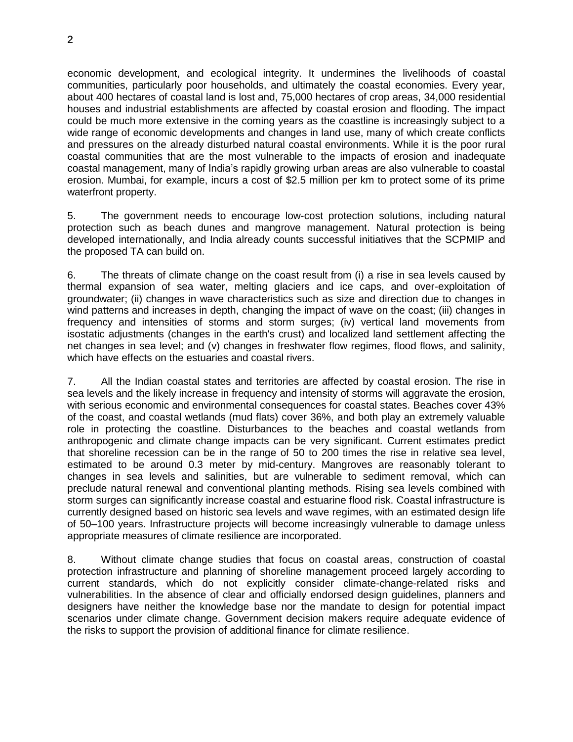economic development, and ecological integrity. It undermines the livelihoods of coastal communities, particularly poor households, and ultimately the coastal economies. Every year, about 400 hectares of coastal land is lost and, 75,000 hectares of crop areas, 34,000 residential houses and industrial establishments are affected by coastal erosion and flooding. The impact could be much more extensive in the coming years as the coastline is increasingly subject to a wide range of economic developments and changes in land use, many of which create conflicts and pressures on the already disturbed natural coastal environments. While it is the poor rural coastal communities that are the most vulnerable to the impacts of erosion and inadequate coastal management, many of India's rapidly growing urban areas are also vulnerable to coastal erosion. Mumbai, for example, incurs a cost of \$2.5 million per km to protect some of its prime waterfront property.

5. The government needs to encourage low-cost protection solutions, including natural protection such as beach dunes and mangrove management. Natural protection is being developed internationally, and India already counts successful initiatives that the SCPMIP and the proposed TA can build on.

6. The threats of climate change on the coast result from (i) a rise in sea levels caused by thermal expansion of sea water, melting glaciers and ice caps, and over-exploitation of groundwater; (ii) changes in wave characteristics such as size and direction due to changes in wind patterns and increases in depth, changing the impact of wave on the coast; (iii) changes in frequency and intensities of storms and storm surges; (iv) vertical land movements from isostatic adjustments (changes in the earth's crust) and localized land settlement affecting the net changes in sea level; and (v) changes in freshwater flow regimes, flood flows, and salinity, which have effects on the estuaries and coastal rivers.

7. All the Indian coastal states and territories are affected by coastal erosion. The rise in sea levels and the likely increase in frequency and intensity of storms will aggravate the erosion, with serious economic and environmental consequences for coastal states. Beaches cover 43% of the coast, and coastal wetlands (mud flats) cover 36%, and both play an extremely valuable role in protecting the coastline. Disturbances to the beaches and coastal wetlands from anthropogenic and climate change impacts can be very significant. Current estimates predict that shoreline recession can be in the range of 50 to 200 times the rise in relative sea level, estimated to be around 0.3 meter by mid-century. Mangroves are reasonably tolerant to changes in sea levels and salinities, but are vulnerable to sediment removal, which can preclude natural renewal and conventional planting methods. Rising sea levels combined with storm surges can significantly increase coastal and estuarine flood risk. Coastal infrastructure is currently designed based on historic sea levels and wave regimes, with an estimated design life of 50–100 years. Infrastructure projects will become increasingly vulnerable to damage unless appropriate measures of climate resilience are incorporated.

8. Without climate change studies that focus on coastal areas, construction of coastal protection infrastructure and planning of shoreline management proceed largely according to current standards, which do not explicitly consider climate-change-related risks and vulnerabilities. In the absence of clear and officially endorsed design guidelines, planners and designers have neither the knowledge base nor the mandate to design for potential impact scenarios under climate change. Government decision makers require adequate evidence of the risks to support the provision of additional finance for climate resilience.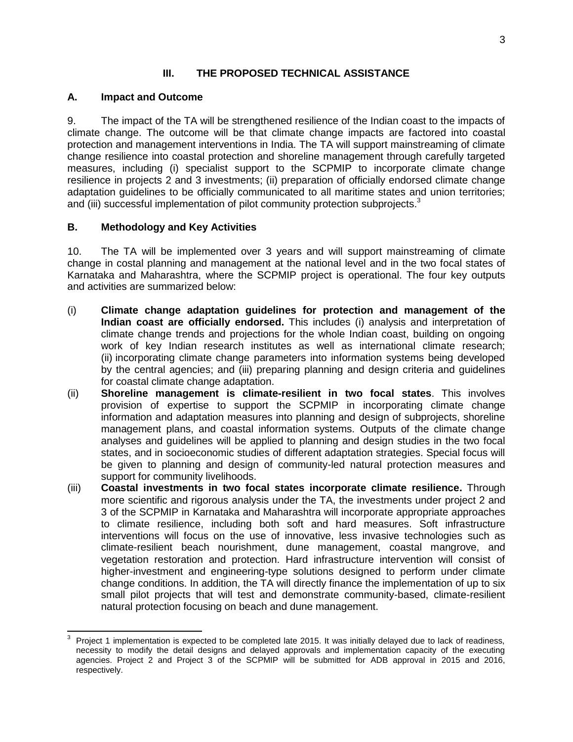#### **III. THE PROPOSED TECHNICAL ASSISTANCE**

### **A. Impact and Outcome**

9. The impact of the TA will be strengthened resilience of the Indian coast to the impacts of climate change. The outcome will be that climate change impacts are factored into coastal protection and management interventions in India. The TA will support mainstreaming of climate change resilience into coastal protection and shoreline management through carefully targeted measures, including (i) specialist support to the SCPMIP to incorporate climate change resilience in projects 2 and 3 investments; (ii) preparation of officially endorsed climate change adaptation guidelines to be officially communicated to all maritime states and union territories; and (iii) successful implementation of pilot community protection subprojects.<sup>3</sup>

# **B. Methodology and Key Activities**

10. The TA will be implemented over 3 years and will support mainstreaming of climate change in costal planning and management at the national level and in the two focal states of Karnataka and Maharashtra, where the SCPMIP project is operational. The four key outputs and activities are summarized below:

- (i) **Climate change adaptation guidelines for protection and management of the Indian coast are officially endorsed.** This includes (i) analysis and interpretation of climate change trends and projections for the whole Indian coast, building on ongoing work of key Indian research institutes as well as international climate research; (ii) incorporating climate change parameters into information systems being developed by the central agencies; and (iii) preparing planning and design criteria and guidelines for coastal climate change adaptation.
- (ii) **Shoreline management is climate-resilient in two focal states**. This involves provision of expertise to support the SCPMIP in incorporating climate change information and adaptation measures into planning and design of subprojects, shoreline management plans, and coastal information systems. Outputs of the climate change analyses and guidelines will be applied to planning and design studies in the two focal states, and in socioeconomic studies of different adaptation strategies. Special focus will be given to planning and design of community-led natural protection measures and support for community livelihoods.
- (iii) **Coastal investments in two focal states incorporate climate resilience.** Through more scientific and rigorous analysis under the TA, the investments under project 2 and 3 of the SCPMIP in Karnataka and Maharashtra will incorporate appropriate approaches to climate resilience, including both soft and hard measures. Soft infrastructure interventions will focus on the use of innovative, less invasive technologies such as climate-resilient beach nourishment, dune management, coastal mangrove, and vegetation restoration and protection. Hard infrastructure intervention will consist of higher-investment and engineering-type solutions designed to perform under climate change conditions. In addition, the TA will directly finance the implementation of up to six small pilot projects that will test and demonstrate community-based, climate-resilient natural protection focusing on beach and dune management.

 $\overline{a}$ 3 Project 1 implementation is expected to be completed late 2015. It was initially delayed due to lack of readiness, necessity to modify the detail designs and delayed approvals and implementation capacity of the executing agencies. Project 2 and Project 3 of the SCPMIP will be submitted for ADB approval in 2015 and 2016, respectively.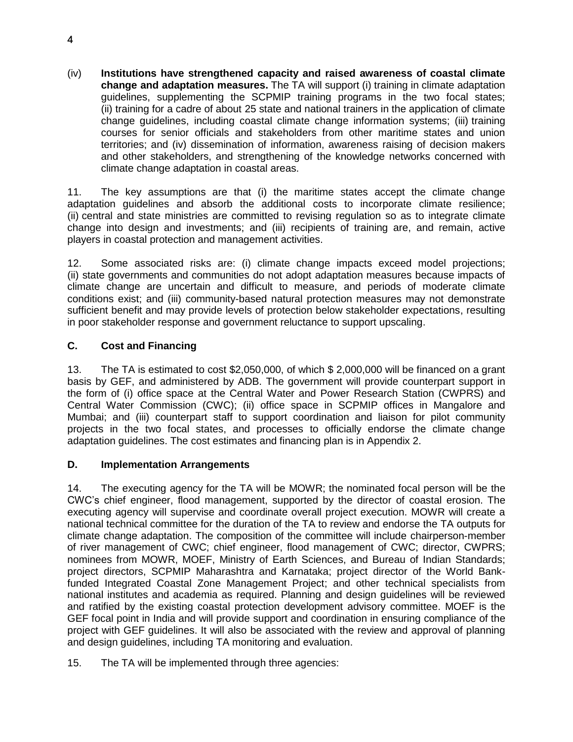(iv) **Institutions have strengthened capacity and raised awareness of coastal climate change and adaptation measures.** The TA will support (i) training in climate adaptation guidelines, supplementing the SCPMIP training programs in the two focal states; (ii) training for a cadre of about 25 state and national trainers in the application of climate change guidelines, including coastal climate change information systems; (iii) training courses for senior officials and stakeholders from other maritime states and union territories; and (iv) dissemination of information, awareness raising of decision makers and other stakeholders, and strengthening of the knowledge networks concerned with climate change adaptation in coastal areas.

11. The key assumptions are that (i) the maritime states accept the climate change adaptation guidelines and absorb the additional costs to incorporate climate resilience; (ii) central and state ministries are committed to revising regulation so as to integrate climate change into design and investments; and (iii) recipients of training are, and remain, active players in coastal protection and management activities.

12. Some associated risks are: (i) climate change impacts exceed model projections; (ii) state governments and communities do not adopt adaptation measures because impacts of climate change are uncertain and difficult to measure, and periods of moderate climate conditions exist; and (iii) community-based natural protection measures may not demonstrate sufficient benefit and may provide levels of protection below stakeholder expectations, resulting in poor stakeholder response and government reluctance to support upscaling.

# **C. Cost and Financing**

13. The TA is estimated to cost \$2,050,000, of which \$ 2,000,000 will be financed on a grant basis by GEF, and administered by ADB. The government will provide counterpart support in the form of (i) office space at the Central Water and Power Research Station (CWPRS) and Central Water Commission (CWC); (ii) office space in SCPMIP offices in Mangalore and Mumbai; and (iii) counterpart staff to support coordination and liaison for pilot community projects in the two focal states, and processes to officially endorse the climate change adaptation guidelines. The cost estimates and financing plan is in Appendix 2.

# **D. Implementation Arrangements**

14. The executing agency for the TA will be MOWR; the nominated focal person will be the CWC's chief engineer, flood management, supported by the director of coastal erosion. The executing agency will supervise and coordinate overall project execution. MOWR will create a national technical committee for the duration of the TA to review and endorse the TA outputs for climate change adaptation. The composition of the committee will include chairperson-member of river management of CWC; chief engineer, flood management of CWC; director, CWPRS; nominees from MOWR, MOEF, Ministry of Earth Sciences, and Bureau of Indian Standards; project directors, SCPMIP Maharashtra and Karnataka; project director of the World Bankfunded Integrated Coastal Zone Management Project; and other technical specialists from national institutes and academia as required. Planning and design guidelines will be reviewed and ratified by the existing coastal protection development advisory committee. MOEF is the GEF focal point in India and will provide support and coordination in ensuring compliance of the project with GEF guidelines. It will also be associated with the review and approval of planning and design guidelines, including TA monitoring and evaluation.

15. The TA will be implemented through three agencies: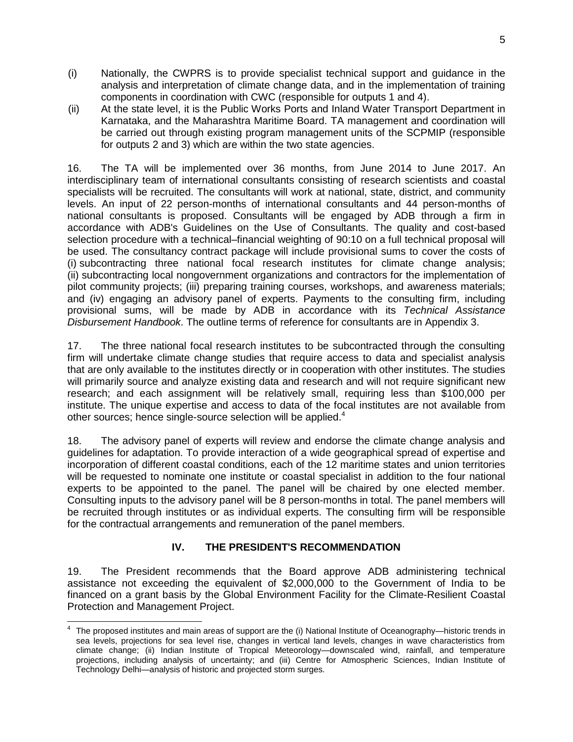- (i) Nationally, the CWPRS is to provide specialist technical support and guidance in the analysis and interpretation of climate change data, and in the implementation of training components in coordination with CWC (responsible for outputs 1 and 4).
- (ii) At the state level, it is the Public Works Ports and Inland Water Transport Department in Karnataka, and the Maharashtra Maritime Board. TA management and coordination will be carried out through existing program management units of the SCPMIP (responsible for outputs 2 and 3) which are within the two state agencies.

16. The TA will be implemented over 36 months, from June 2014 to June 2017. An interdisciplinary team of international consultants consisting of research scientists and coastal specialists will be recruited. The consultants will work at national, state, district, and community levels. An input of 22 person-months of international consultants and 44 person-months of national consultants is proposed. Consultants will be engaged by ADB through a firm in accordance with ADB's Guidelines on the Use of Consultants. The quality and cost-based selection procedure with a technical–financial weighting of 90:10 on a full technical proposal will be used. The consultancy contract package will include provisional sums to cover the costs of (i) subcontracting three national focal research institutes for climate change analysis; (ii) subcontracting local nongovernment organizations and contractors for the implementation of pilot community projects; (iii) preparing training courses, workshops, and awareness materials; and (iv) engaging an advisory panel of experts. Payments to the consulting firm, including provisional sums, will be made by ADB in accordance with its *Technical Assistance Disbursement Handbook*. The outline terms of reference for consultants are in Appendix 3.

17. The three national focal research institutes to be subcontracted through the consulting firm will undertake climate change studies that require access to data and specialist analysis that are only available to the institutes directly or in cooperation with other institutes. The studies will primarily source and analyze existing data and research and will not require significant new research; and each assignment will be relatively small, requiring less than \$100,000 per institute. The unique expertise and access to data of the focal institutes are not available from other sources; hence single-source selection will be applied.<sup>4</sup>

18. The advisory panel of experts will review and endorse the climate change analysis and guidelines for adaptation. To provide interaction of a wide geographical spread of expertise and incorporation of different coastal conditions, each of the 12 maritime states and union territories will be requested to nominate one institute or coastal specialist in addition to the four national experts to be appointed to the panel. The panel will be chaired by one elected member. Consulting inputs to the advisory panel will be 8 person-months in total. The panel members will be recruited through institutes or as individual experts. The consulting firm will be responsible for the contractual arrangements and remuneration of the panel members.

# **IV. THE PRESIDENT'S RECOMMENDATION**

19. The President recommends that the Board approve ADB administering technical assistance not exceeding the equivalent of \$2,000,000 to the Government of India to be financed on a grant basis by the Global Environment Facility for the Climate-Resilient Coastal Protection and Management Project.

 4 The proposed institutes and main areas of support are the (i) National Institute of Oceanography—historic trends in sea levels, projections for sea level rise, changes in vertical land levels, changes in wave characteristics from climate change; (ii) Indian Institute of Tropical Meteorology—downscaled wind, rainfall, and temperature projections, including analysis of uncertainty; and (iii) Centre for Atmospheric Sciences, Indian Institute of Technology Delhi—analysis of historic and projected storm surges*.*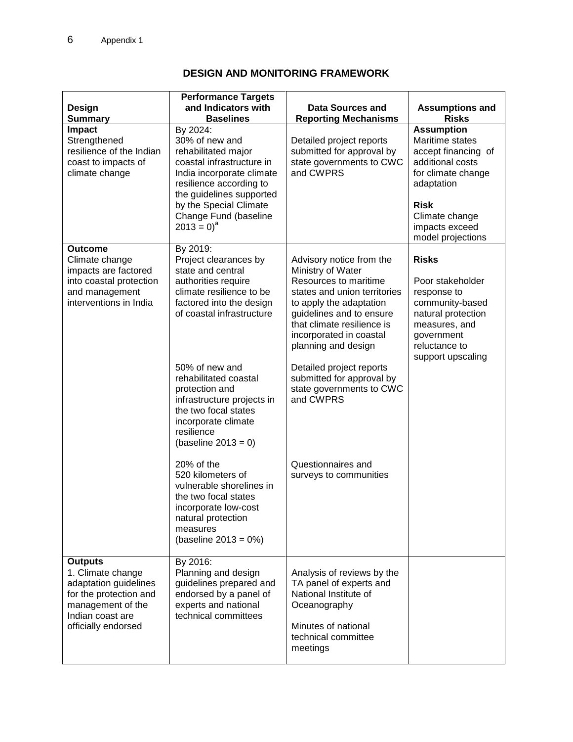# **DESIGN AND MONITORING FRAMEWORK**

| <b>Design</b>                                                                                                                                          | <b>Performance Targets</b><br>and Indicators with                                                                                                                                                                                                                                                                                                                                                                                                                                                                                | Data Sources and                                                                                                                                                                                                                                                                                                                                                                                | <b>Assumptions and</b>                                                                                                                                                                      |
|--------------------------------------------------------------------------------------------------------------------------------------------------------|----------------------------------------------------------------------------------------------------------------------------------------------------------------------------------------------------------------------------------------------------------------------------------------------------------------------------------------------------------------------------------------------------------------------------------------------------------------------------------------------------------------------------------|-------------------------------------------------------------------------------------------------------------------------------------------------------------------------------------------------------------------------------------------------------------------------------------------------------------------------------------------------------------------------------------------------|---------------------------------------------------------------------------------------------------------------------------------------------------------------------------------------------|
| <b>Summary</b>                                                                                                                                         | <b>Baselines</b>                                                                                                                                                                                                                                                                                                                                                                                                                                                                                                                 | <b>Reporting Mechanisms</b>                                                                                                                                                                                                                                                                                                                                                                     | <b>Risks</b>                                                                                                                                                                                |
| <b>Impact</b><br>Strengthened<br>resilience of the Indian<br>coast to impacts of<br>climate change                                                     | By 2024:<br>30% of new and<br>rehabilitated major<br>coastal infrastructure in<br>India incorporate climate<br>resilience according to<br>the guidelines supported<br>by the Special Climate<br>Change Fund (baseline<br>$2013 = 0)^a$                                                                                                                                                                                                                                                                                           | Detailed project reports<br>submitted for approval by<br>state governments to CWC<br>and CWPRS                                                                                                                                                                                                                                                                                                  | <b>Assumption</b><br>Maritime states<br>accept financing of<br>additional costs<br>for climate change<br>adaptation<br><b>Risk</b><br>Climate change<br>impacts exceed<br>model projections |
| <b>Outcome</b><br>Climate change<br>impacts are factored<br>into coastal protection<br>and management<br>interventions in India                        | By 2019:<br>Project clearances by<br>state and central<br>authorities require<br>climate resilience to be<br>factored into the design<br>of coastal infrastructure<br>50% of new and<br>rehabilitated coastal<br>protection and<br>infrastructure projects in<br>the two focal states<br>incorporate climate<br>resilience<br>(baseline $2013 = 0$ )<br>20% of the<br>520 kilometers of<br>vulnerable shorelines in<br>the two focal states<br>incorporate low-cost<br>natural protection<br>measures<br>(baseline $2013 = 0\%)$ | Advisory notice from the<br>Ministry of Water<br>Resources to maritime<br>states and union territories<br>to apply the adaptation<br>guidelines and to ensure<br>that climate resilience is<br>incorporated in coastal<br>planning and design<br>Detailed project reports<br>submitted for approval by<br>state governments to CWC<br>and CWPRS<br>Questionnaires and<br>surveys to communities | <b>Risks</b><br>Poor stakeholder<br>response to<br>community-based<br>natural protection<br>measures, and<br>government<br>reluctance to<br>support upscaling                               |
| <b>Outputs</b><br>1. Climate change<br>adaptation guidelines<br>for the protection and<br>management of the<br>Indian coast are<br>officially endorsed | By 2016:<br>Planning and design<br>guidelines prepared and<br>endorsed by a panel of<br>experts and national<br>technical committees                                                                                                                                                                                                                                                                                                                                                                                             | Analysis of reviews by the<br>TA panel of experts and<br>National Institute of<br>Oceanography<br>Minutes of national<br>technical committee<br>meetings                                                                                                                                                                                                                                        |                                                                                                                                                                                             |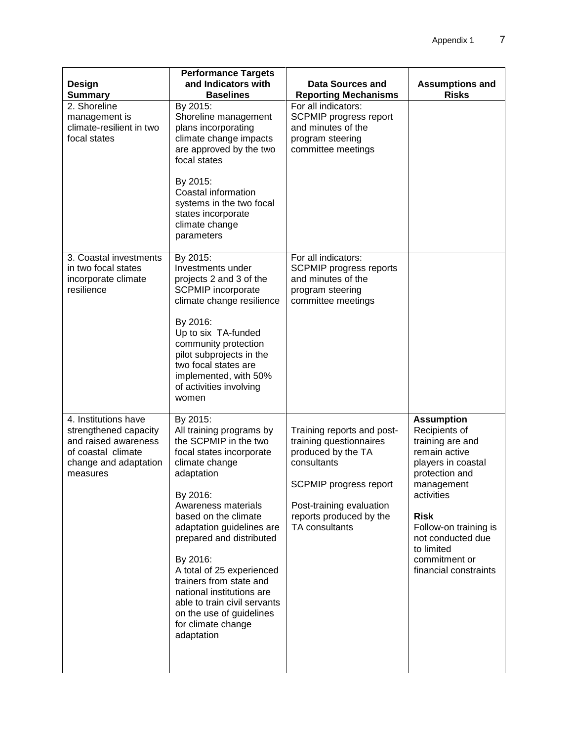| <b>Design</b><br><b>Summary</b>                                                                                                  | <b>Performance Targets</b><br>and Indicators with<br><b>Baselines</b>                                                                                                                                                                                                                                                                                                                                                                          | <b>Data Sources and</b><br><b>Reporting Mechanisms</b>                                                                                                                                               | <b>Assumptions and</b><br><b>Risks</b>                                                                                                                                                                                                                           |
|----------------------------------------------------------------------------------------------------------------------------------|------------------------------------------------------------------------------------------------------------------------------------------------------------------------------------------------------------------------------------------------------------------------------------------------------------------------------------------------------------------------------------------------------------------------------------------------|------------------------------------------------------------------------------------------------------------------------------------------------------------------------------------------------------|------------------------------------------------------------------------------------------------------------------------------------------------------------------------------------------------------------------------------------------------------------------|
| 2. Shoreline<br>management is<br>climate-resilient in two<br>focal states                                                        | By 2015:<br>Shoreline management<br>plans incorporating<br>climate change impacts<br>are approved by the two<br>focal states<br>By 2015:<br>Coastal information<br>systems in the two focal<br>states incorporate<br>climate change<br>parameters                                                                                                                                                                                              | For all indicators:<br>SCPMIP progress report<br>and minutes of the<br>program steering<br>committee meetings                                                                                        |                                                                                                                                                                                                                                                                  |
| 3. Coastal investments<br>in two focal states<br>incorporate climate<br>resilience                                               | By 2015:<br>Investments under<br>projects 2 and 3 of the<br><b>SCPMIP</b> incorporate<br>climate change resilience<br>By 2016:<br>Up to six TA-funded<br>community protection<br>pilot subprojects in the<br>two focal states are<br>implemented, with 50%<br>of activities involving<br>women                                                                                                                                                 | For all indicators:<br><b>SCPMIP progress reports</b><br>and minutes of the<br>program steering<br>committee meetings                                                                                |                                                                                                                                                                                                                                                                  |
| 4. Institutions have<br>strengthened capacity<br>and raised awareness<br>of coastal climate<br>change and adaptation<br>measures | By 2015:<br>All training programs by<br>the SCPMIP in the two<br>focal states incorporate<br>climate change<br>adaptation<br>By 2016:<br>Awareness materials<br>based on the climate<br>adaptation guidelines are<br>prepared and distributed<br>By 2016:<br>A total of 25 experienced<br>trainers from state and<br>national institutions are<br>able to train civil servants<br>on the use of guidelines<br>for climate change<br>adaptation | Training reports and post-<br>training questionnaires<br>produced by the TA<br>consultants<br><b>SCPMIP progress report</b><br>Post-training evaluation<br>reports produced by the<br>TA consultants | <b>Assumption</b><br>Recipients of<br>training are and<br>remain active<br>players in coastal<br>protection and<br>management<br>activities<br><b>Risk</b><br>Follow-on training is<br>not conducted due<br>to limited<br>commitment or<br>financial constraints |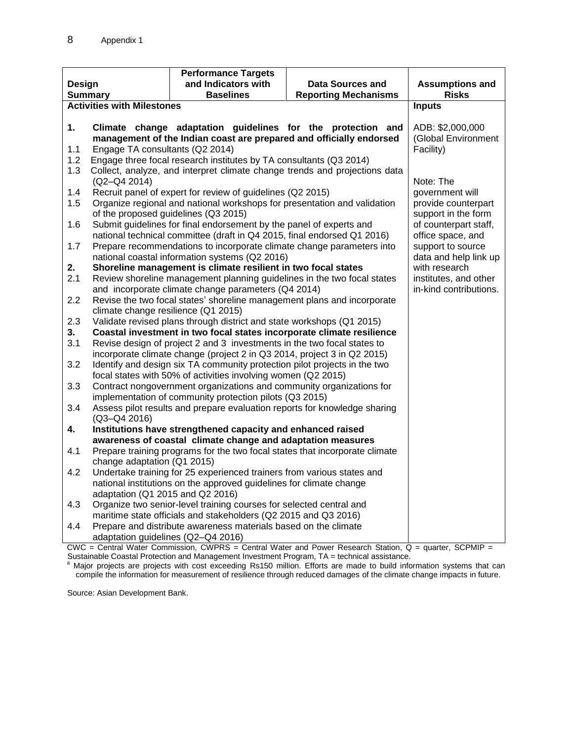|                                                                            |                                                                                       | <b>Performance Targets</b>                                                                                                                                                                                                                                                                                                                                                                                                                                                                                                                                                                                                                              |                                                                            |                                            |
|----------------------------------------------------------------------------|---------------------------------------------------------------------------------------|---------------------------------------------------------------------------------------------------------------------------------------------------------------------------------------------------------------------------------------------------------------------------------------------------------------------------------------------------------------------------------------------------------------------------------------------------------------------------------------------------------------------------------------------------------------------------------------------------------------------------------------------------------|----------------------------------------------------------------------------|--------------------------------------------|
| Design                                                                     |                                                                                       | and Indicators with                                                                                                                                                                                                                                                                                                                                                                                                                                                                                                                                                                                                                                     | Data Sources and                                                           | <b>Assumptions and</b>                     |
| <b>Baselines</b><br><b>Summary</b>                                         |                                                                                       | <b>Reporting Mechanisms</b>                                                                                                                                                                                                                                                                                                                                                                                                                                                                                                                                                                                                                             | <b>Risks</b>                                                               |                                            |
|                                                                            | <b>Activities with Milestones</b>                                                     |                                                                                                                                                                                                                                                                                                                                                                                                                                                                                                                                                                                                                                                         |                                                                            | <b>Inputs</b>                              |
|                                                                            |                                                                                       |                                                                                                                                                                                                                                                                                                                                                                                                                                                                                                                                                                                                                                                         |                                                                            |                                            |
| 1.                                                                         |                                                                                       |                                                                                                                                                                                                                                                                                                                                                                                                                                                                                                                                                                                                                                                         | Climate change adaptation guidelines for the protection and                | ADB: \$2,000,000                           |
|                                                                            |                                                                                       | management of the Indian coast are prepared and officially endorsed                                                                                                                                                                                                                                                                                                                                                                                                                                                                                                                                                                                     |                                                                            | (Global Environment                        |
| 1.1                                                                        | Engage TA consultants (Q2 2014)                                                       |                                                                                                                                                                                                                                                                                                                                                                                                                                                                                                                                                                                                                                                         |                                                                            | Facility)                                  |
| 1.2                                                                        |                                                                                       | Engage three focal research institutes by TA consultants (Q3 2014)                                                                                                                                                                                                                                                                                                                                                                                                                                                                                                                                                                                      |                                                                            |                                            |
| 1.3                                                                        |                                                                                       |                                                                                                                                                                                                                                                                                                                                                                                                                                                                                                                                                                                                                                                         | Collect, analyze, and interpret climate change trends and projections data |                                            |
|                                                                            | $(Q2-Q4 2014)$                                                                        |                                                                                                                                                                                                                                                                                                                                                                                                                                                                                                                                                                                                                                                         |                                                                            | Note: The                                  |
| 1.4<br>1.5                                                                 |                                                                                       | Recruit panel of expert for review of guidelines (Q2 2015)                                                                                                                                                                                                                                                                                                                                                                                                                                                                                                                                                                                              |                                                                            | government will                            |
|                                                                            | of the proposed guidelines (Q3 2015)                                                  | Organize regional and national workshops for presentation and validation                                                                                                                                                                                                                                                                                                                                                                                                                                                                                                                                                                                |                                                                            | provide counterpart<br>support in the form |
| 1.6                                                                        |                                                                                       | Submit guidelines for final endorsement by the panel of experts and                                                                                                                                                                                                                                                                                                                                                                                                                                                                                                                                                                                     |                                                                            | of counterpart staff,                      |
|                                                                            |                                                                                       | national technical committee (draft in Q4 2015, final endorsed Q1 2016)                                                                                                                                                                                                                                                                                                                                                                                                                                                                                                                                                                                 |                                                                            | office space, and                          |
| 1.7                                                                        |                                                                                       | Prepare recommendations to incorporate climate change parameters into                                                                                                                                                                                                                                                                                                                                                                                                                                                                                                                                                                                   |                                                                            | support to source                          |
|                                                                            |                                                                                       | national coastal information systems (Q2 2016)                                                                                                                                                                                                                                                                                                                                                                                                                                                                                                                                                                                                          |                                                                            | data and help link up                      |
| 2.                                                                         |                                                                                       | Shoreline management is climate resilient in two focal states                                                                                                                                                                                                                                                                                                                                                                                                                                                                                                                                                                                           |                                                                            | with research                              |
| 2.1                                                                        |                                                                                       | Review shoreline management planning guidelines in the two focal states                                                                                                                                                                                                                                                                                                                                                                                                                                                                                                                                                                                 |                                                                            | institutes, and other                      |
|                                                                            |                                                                                       | and incorporate climate change parameters (Q4 2014)                                                                                                                                                                                                                                                                                                                                                                                                                                                                                                                                                                                                     |                                                                            | in-kind contributions.                     |
| 2.2                                                                        |                                                                                       | Revise the two focal states' shoreline management plans and incorporate                                                                                                                                                                                                                                                                                                                                                                                                                                                                                                                                                                                 |                                                                            |                                            |
|                                                                            | climate change resilience (Q1 2015)                                                   |                                                                                                                                                                                                                                                                                                                                                                                                                                                                                                                                                                                                                                                         |                                                                            |                                            |
| 2.3                                                                        |                                                                                       | Validate revised plans through district and state workshops (Q1 2015)                                                                                                                                                                                                                                                                                                                                                                                                                                                                                                                                                                                   |                                                                            |                                            |
| 3.                                                                         |                                                                                       | Coastal investment in two focal states incorporate climate resilience                                                                                                                                                                                                                                                                                                                                                                                                                                                                                                                                                                                   |                                                                            |                                            |
| 3.1                                                                        |                                                                                       | Revise design of project 2 and 3 investments in the two focal states to                                                                                                                                                                                                                                                                                                                                                                                                                                                                                                                                                                                 |                                                                            |                                            |
|                                                                            |                                                                                       |                                                                                                                                                                                                                                                                                                                                                                                                                                                                                                                                                                                                                                                         |                                                                            |                                            |
|                                                                            |                                                                                       |                                                                                                                                                                                                                                                                                                                                                                                                                                                                                                                                                                                                                                                         |                                                                            |                                            |
|                                                                            |                                                                                       |                                                                                                                                                                                                                                                                                                                                                                                                                                                                                                                                                                                                                                                         |                                                                            |                                            |
|                                                                            |                                                                                       |                                                                                                                                                                                                                                                                                                                                                                                                                                                                                                                                                                                                                                                         |                                                                            |                                            |
|                                                                            |                                                                                       |                                                                                                                                                                                                                                                                                                                                                                                                                                                                                                                                                                                                                                                         |                                                                            |                                            |
|                                                                            | Assess pilot results and prepare evaluation reports for knowledge sharing             |                                                                                                                                                                                                                                                                                                                                                                                                                                                                                                                                                                                                                                                         |                                                                            |                                            |
|                                                                            |                                                                                       |                                                                                                                                                                                                                                                                                                                                                                                                                                                                                                                                                                                                                                                         |                                                                            |                                            |
|                                                                            |                                                                                       |                                                                                                                                                                                                                                                                                                                                                                                                                                                                                                                                                                                                                                                         |                                                                            |                                            |
|                                                                            |                                                                                       |                                                                                                                                                                                                                                                                                                                                                                                                                                                                                                                                                                                                                                                         |                                                                            |                                            |
|                                                                            |                                                                                       |                                                                                                                                                                                                                                                                                                                                                                                                                                                                                                                                                                                                                                                         |                                                                            |                                            |
|                                                                            | Undertake training for 25 experienced trainers from various states and                |                                                                                                                                                                                                                                                                                                                                                                                                                                                                                                                                                                                                                                                         |                                                                            |                                            |
|                                                                            | national institutions on the approved guidelines for climate change                   |                                                                                                                                                                                                                                                                                                                                                                                                                                                                                                                                                                                                                                                         |                                                                            |                                            |
|                                                                            | adaptation (Q1 2015 and Q2 2016)                                                      |                                                                                                                                                                                                                                                                                                                                                                                                                                                                                                                                                                                                                                                         |                                                                            |                                            |
|                                                                            | Organize two senior-level training courses for selected central and                   |                                                                                                                                                                                                                                                                                                                                                                                                                                                                                                                                                                                                                                                         |                                                                            |                                            |
|                                                                            |                                                                                       |                                                                                                                                                                                                                                                                                                                                                                                                                                                                                                                                                                                                                                                         |                                                                            |                                            |
|                                                                            | Prepare and distribute awareness materials based on the climate                       |                                                                                                                                                                                                                                                                                                                                                                                                                                                                                                                                                                                                                                                         |                                                                            |                                            |
|                                                                            |                                                                                       |                                                                                                                                                                                                                                                                                                                                                                                                                                                                                                                                                                                                                                                         |                                                                            |                                            |
| 3.2<br>3.3<br>3.4<br>4.<br>4.1<br>4.2<br>4.3<br>4.4<br>$\overline{\Omega}$ | $(Q3 - Q4 2016)$<br>change adaptation (Q1 2015)<br>adaptation guidelines (Q2-Q4 2016) | incorporate climate change (project 2 in Q3 2014, project 3 in Q2 2015)<br>Identify and design six TA community protection pilot projects in the two<br>focal states with 50% of activities involving women (Q2 2015)<br>Contract nongovernment organizations and community organizations for<br>implementation of community protection pilots (Q3 2015)<br>Institutions have strengthened capacity and enhanced raised<br>awareness of coastal climate change and adaptation measures<br>Prepare training programs for the two focal states that incorporate climate<br>maritime state officials and stakeholders (Q2 2015 and Q3 2016)<br>$1.111 - 1$ | $\sim$ $\sim$ $\sim$ $\sim$<br>$\overline{\phantom{a}}$                    | $\overline{\phantom{a}}$                   |

 $CWC =$  Central Water Commission, CWPRS = Central Water and Power Research Station,  $Q =$  quarter, SCPMIP = Sustainable Coastal Protection and Management Investment Program, TA = technical assistance.

<sup>a</sup> Major projects are projects with cost exceeding Rs150 million. Efforts are made to build information systems that can compile the information for measurement of resilience through reduced damages of the climate change impacts in future.

Source: Asian Development Bank.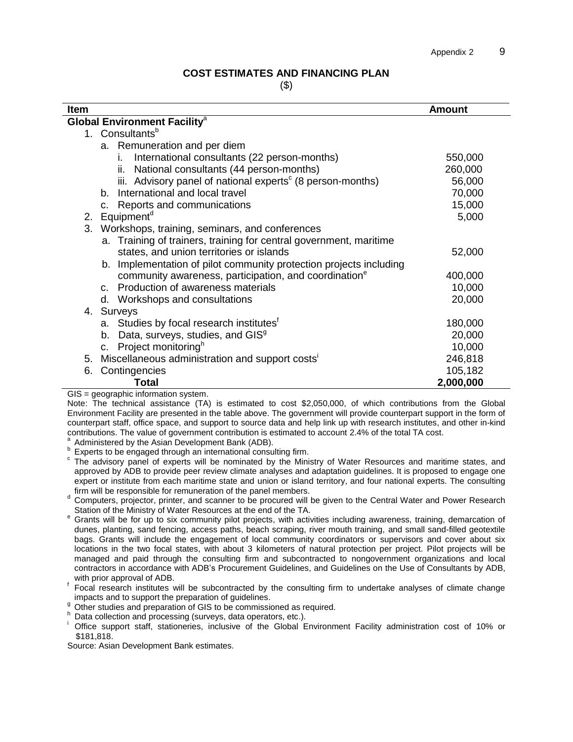#### **COST ESTIMATES AND FINANCING PLAN**

(\$)

| Item |                                                                        | <b>Amount</b> |
|------|------------------------------------------------------------------------|---------------|
|      | <b>Global Environment Facility<sup>a</sup></b>                         |               |
|      | 1. Consultants <sup>b</sup>                                            |               |
|      | a. Remuneration and per diem                                           |               |
|      | International consultants (22 person-months)<br>İ.                     | 550,000       |
|      | ii. National consultants (44 person-months)                            | 260,000       |
|      | iii. Advisory panel of national experts <sup>c</sup> (8 person-months) | 56,000        |
|      | International and local travel<br>b <sub>1</sub>                       | 70,000        |
|      | c. Reports and communications                                          | 15,000        |
|      | 2. Equipment <sup>d</sup>                                              | 5,000         |
|      | 3. Workshops, training, seminars, and conferences                      |               |
|      | a. Training of trainers, training for central government, maritime     |               |
|      | states, and union territories or islands                               | 52,000        |
|      | b. Implementation of pilot community protection projects including     |               |
|      | community awareness, participation, and coordination <sup>e</sup>      | 400,000       |
|      | c. Production of awareness materials                                   | 10,000        |
|      | d. Workshops and consultations                                         | 20,000        |
|      | 4. Surveys                                                             |               |
|      | a. Studies by focal research institutes <sup>t</sup>                   | 180,000       |
|      | b. Data, surveys, studies, and GIS <sup>9</sup>                        | 20,000        |
|      | c. Project monitoring <sup>h</sup>                                     | 10,000        |
| 5.   | Miscellaneous administration and support costs'                        | 246,818       |
| 6.   | Contingencies                                                          | 105,182       |
|      | <b>Total</b>                                                           | 2,000,000     |
|      | $GIS = geographic information system.$                                 |               |

Note: The technical assistance (TA) is estimated to cost \$2,050,000, of which contributions from the Global Environment Facility are presented in the table above. The government will provide counterpart support in the form of counterpart staff, office space, and support to source data and help link up with research institutes, and other in-kind contributions. The value of government contribution is estimated to account 2.4% of the total TA cost.

a Administered by the Asian Development Bank (ADB).

b Experts to be engaged through an international consulting firm.

c The advisory panel of experts will be nominated by the Ministry of Water Resources and maritime states, and approved by ADB to provide peer review climate analyses and adaptation guidelines. It is proposed to engage one expert or institute from each maritime state and union or island territory, and four national experts. The consulting firm will be responsible for remuneration of the panel members.

- <sup>d</sup> Computers, projector, printer, and scanner to be procured will be given to the Central Water and Power Research Station of the Ministry of Water Resources at the end of the TA.
- <sup>e</sup> Grants will be for up to six community pilot projects, with activities including awareness, training, demarcation of dunes, planting, sand fencing, access paths, beach scraping, river mouth training, and small sand-filled geotextile bags. Grants will include the engagement of local community coordinators or supervisors and cover about six locations in the two focal states, with about 3 kilometers of natural protection per project. Pilot projects will be managed and paid through the consulting firm and subcontracted to nongovernment organizations and local contractors in accordance with ADB's Procurement Guidelines, and Guidelines on the Use of Consultants by ADB, with prior approval of ADB.
- <sup>f</sup> Focal research institutes will be subcontracted by the consulting firm to undertake analyses of climate change impacts and to support the preparation of guidelines.
- <sup>9</sup> Other studies and preparation of GIS to be commissioned as required.
- h Data collection and processing (surveys, data operators, etc.).
- Office support staff, stationeries, inclusive of the Global Environment Facility administration cost of 10% or \$181,818.

Source: Asian Development Bank estimates.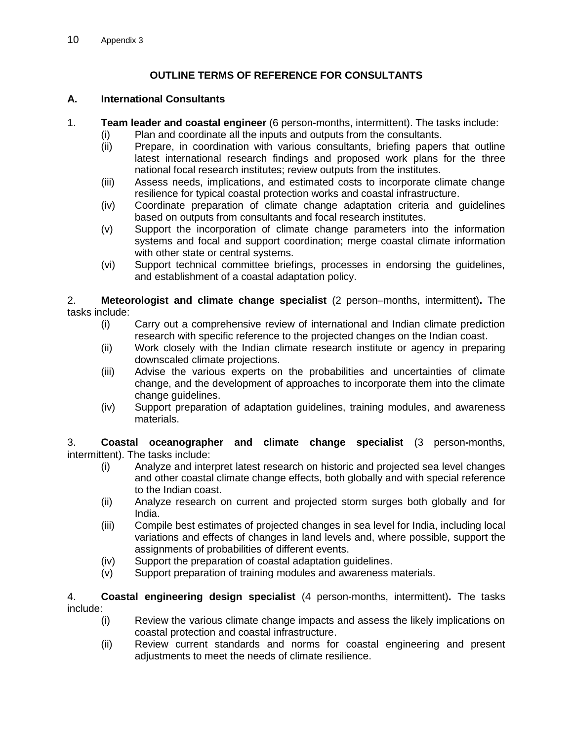# **OUTLINE TERMS OF REFERENCE FOR CONSULTANTS**

#### **A. International Consultants**

- 1. **Team leader and coastal engineer** (6 person-months, intermittent). The tasks include:
	- (i) Plan and coordinate all the inputs and outputs from the consultants.
	- (ii) Prepare, in coordination with various consultants, briefing papers that outline latest international research findings and proposed work plans for the three national focal research institutes; review outputs from the institutes.
	- (iii) Assess needs, implications, and estimated costs to incorporate climate change resilience for typical coastal protection works and coastal infrastructure.
	- (iv) Coordinate preparation of climate change adaptation criteria and guidelines based on outputs from consultants and focal research institutes.
	- (v) Support the incorporation of climate change parameters into the information systems and focal and support coordination; merge coastal climate information with other state or central systems.
	- (vi) Support technical committee briefings, processes in endorsing the guidelines, and establishment of a coastal adaptation policy.

2. **Meteorologist and climate change specialist** (2 person–months, intermittent)**.** The tasks include:

- (i) Carry out a comprehensive review of international and Indian climate prediction research with specific reference to the projected changes on the Indian coast.
- (ii) Work closely with the Indian climate research institute or agency in preparing downscaled climate projections.
- (iii) Advise the various experts on the probabilities and uncertainties of climate change, and the development of approaches to incorporate them into the climate change guidelines.
- (iv) Support preparation of adaptation guidelines, training modules, and awareness materials.

3. **Coastal oceanographer and climate change specialist** (3 person**-**months, intermittent). The tasks include:

- (i) Analyze and interpret latest research on historic and projected sea level changes and other coastal climate change effects, both globally and with special reference to the Indian coast.
- (ii) Analyze research on current and projected storm surges both globally and for India.
- (iii) Compile best estimates of projected changes in sea level for India, including local variations and effects of changes in land levels and, where possible, support the assignments of probabilities of different events.
- (iv) Support the preparation of coastal adaptation guidelines.
- (v) Support preparation of training modules and awareness materials.

4. **Coastal engineering design specialist** (4 person-months, intermittent)**.** The tasks include:

- (i) Review the various climate change impacts and assess the likely implications on coastal protection and coastal infrastructure.
- (ii) Review current standards and norms for coastal engineering and present adjustments to meet the needs of climate resilience.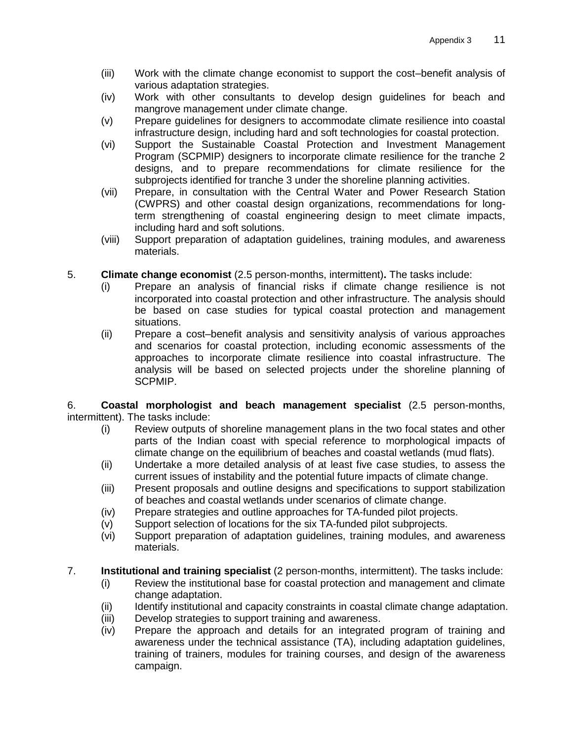- (iii) Work with the climate change economist to support the cost–benefit analysis of various adaptation strategies.
- (iv) Work with other consultants to develop design guidelines for beach and mangrove management under climate change.
- (v) Prepare guidelines for designers to accommodate climate resilience into coastal infrastructure design, including hard and soft technologies for coastal protection.
- (vi) Support the Sustainable Coastal Protection and Investment Management Program (SCPMIP) designers to incorporate climate resilience for the tranche 2 designs, and to prepare recommendations for climate resilience for the subprojects identified for tranche 3 under the shoreline planning activities.
- (vii) Prepare, in consultation with the Central Water and Power Research Station (CWPRS) and other coastal design organizations, recommendations for longterm strengthening of coastal engineering design to meet climate impacts, including hard and soft solutions.
- (viii) Support preparation of adaptation guidelines, training modules, and awareness materials.
- 5. **Climate change economist** (2.5 person-months, intermittent)**.** The tasks include:
	- (i) Prepare an analysis of financial risks if climate change resilience is not incorporated into coastal protection and other infrastructure. The analysis should be based on case studies for typical coastal protection and management situations.
	- (ii) Prepare a cost–benefit analysis and sensitivity analysis of various approaches and scenarios for coastal protection, including economic assessments of the approaches to incorporate climate resilience into coastal infrastructure. The analysis will be based on selected projects under the shoreline planning of SCPMIP.

6. **Coastal morphologist and beach management specialist** (2.5 person-months, intermittent). The tasks include:

- (i) Review outputs of shoreline management plans in the two focal states and other parts of the Indian coast with special reference to morphological impacts of climate change on the equilibrium of beaches and coastal wetlands (mud flats).
- (ii) Undertake a more detailed analysis of at least five case studies, to assess the current issues of instability and the potential future impacts of climate change.
- (iii) Present proposals and outline designs and specifications to support stabilization of beaches and coastal wetlands under scenarios of climate change.
- (iv) Prepare strategies and outline approaches for TA-funded pilot projects.
- (v) Support selection of locations for the six TA-funded pilot subprojects.
- (vi) Support preparation of adaptation guidelines, training modules, and awareness materials.
- 7. **Institutional and training specialist** (2 person-months, intermittent). The tasks include:
	- (i) Review the institutional base for coastal protection and management and climate change adaptation.
	- (ii) Identify institutional and capacity constraints in coastal climate change adaptation.
	- (iii) Develop strategies to support training and awareness.
	- (iv) Prepare the approach and details for an integrated program of training and awareness under the technical assistance (TA), including adaptation guidelines, training of trainers, modules for training courses, and design of the awareness campaign.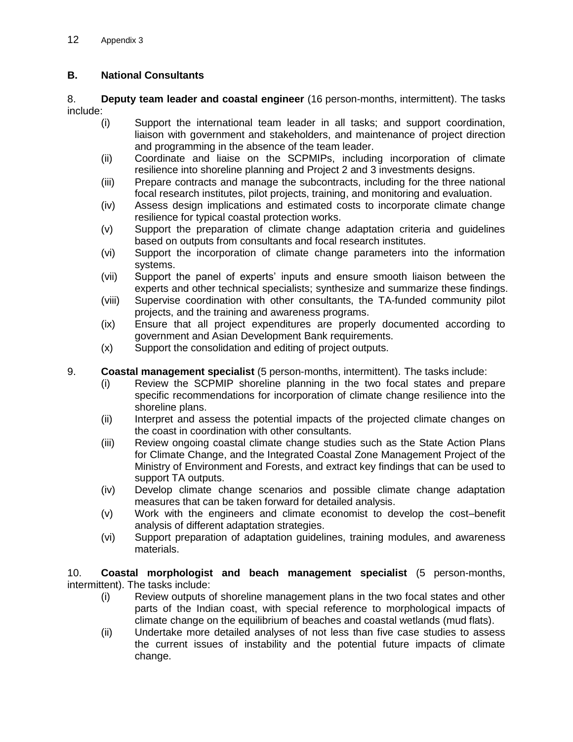### **B. National Consultants**

8. **Deputy team leader and coastal engineer** (16 person-months, intermittent). The tasks include:

- (i) Support the international team leader in all tasks; and support coordination, liaison with government and stakeholders, and maintenance of project direction and programming in the absence of the team leader.
- (ii) Coordinate and liaise on the SCPMIPs, including incorporation of climate resilience into shoreline planning and Project 2 and 3 investments designs.
- (iii) Prepare contracts and manage the subcontracts, including for the three national focal research institutes, pilot projects, training, and monitoring and evaluation.
- (iv) Assess design implications and estimated costs to incorporate climate change resilience for typical coastal protection works.
- (v) Support the preparation of climate change adaptation criteria and guidelines based on outputs from consultants and focal research institutes.
- (vi) Support the incorporation of climate change parameters into the information systems.
- (vii) Support the panel of experts' inputs and ensure smooth liaison between the experts and other technical specialists; synthesize and summarize these findings.
- (viii) Supervise coordination with other consultants, the TA-funded community pilot projects, and the training and awareness programs.
- (ix) Ensure that all project expenditures are properly documented according to government and Asian Development Bank requirements.
- (x) Support the consolidation and editing of project outputs.

#### 9. **Coastal management specialist** (5 person-months, intermittent). The tasks include:

- (i) Review the SCPMIP shoreline planning in the two focal states and prepare specific recommendations for incorporation of climate change resilience into the shoreline plans.
- (ii) Interpret and assess the potential impacts of the projected climate changes on the coast in coordination with other consultants.
- (iii) Review ongoing coastal climate change studies such as the State Action Plans for Climate Change, and the Integrated Coastal Zone Management Project of the Ministry of Environment and Forests, and extract key findings that can be used to support TA outputs.
- (iv) Develop climate change scenarios and possible climate change adaptation measures that can be taken forward for detailed analysis.
- (v) Work with the engineers and climate economist to develop the cost–benefit analysis of different adaptation strategies.
- (vi) Support preparation of adaptation guidelines, training modules, and awareness materials.

10. **Coastal morphologist and beach management specialist** (5 person-months, intermittent). The tasks include:

- (i) Review outputs of shoreline management plans in the two focal states and other parts of the Indian coast, with special reference to morphological impacts of climate change on the equilibrium of beaches and coastal wetlands (mud flats).
- (ii) Undertake more detailed analyses of not less than five case studies to assess the current issues of instability and the potential future impacts of climate change.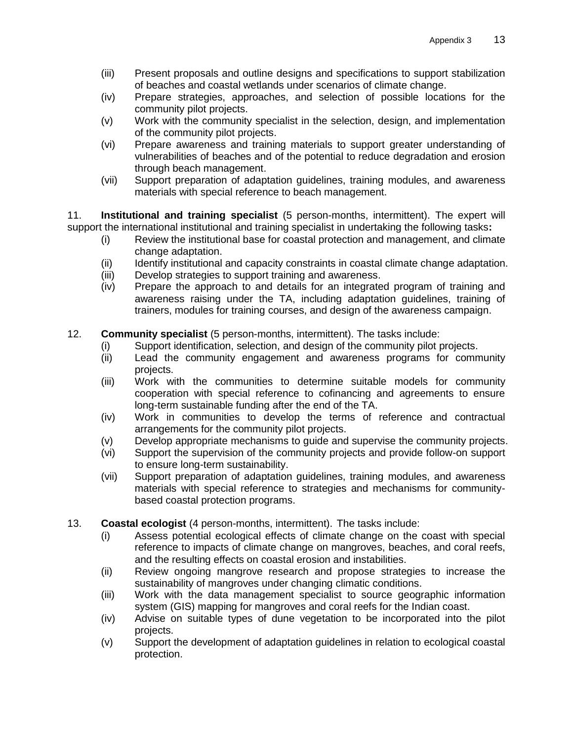- (iii) Present proposals and outline designs and specifications to support stabilization of beaches and coastal wetlands under scenarios of climate change.
- (iv) Prepare strategies, approaches, and selection of possible locations for the community pilot projects.
- (v) Work with the community specialist in the selection, design, and implementation of the community pilot projects.
- (vi) Prepare awareness and training materials to support greater understanding of vulnerabilities of beaches and of the potential to reduce degradation and erosion through beach management.
- (vii) Support preparation of adaptation guidelines, training modules, and awareness materials with special reference to beach management.

11. **Institutional and training specialist** (5 person-months, intermittent). The expert will support the international institutional and training specialist in undertaking the following tasks**:**

- (i) Review the institutional base for coastal protection and management, and climate change adaptation.
- (ii) Identify institutional and capacity constraints in coastal climate change adaptation.
- (iii) Develop strategies to support training and awareness.
- (iv) Prepare the approach to and details for an integrated program of training and awareness raising under the TA, including adaptation guidelines, training of trainers, modules for training courses, and design of the awareness campaign.

#### 12. **Community specialist** (5 person-months, intermittent). The tasks include:

- (i) Support identification, selection, and design of the community pilot projects.<br>(ii) Lead the community engagement and awareness programs for comn
- Lead the community engagement and awareness programs for community projects.
- (iii) Work with the communities to determine suitable models for community cooperation with special reference to cofinancing and agreements to ensure long-term sustainable funding after the end of the TA.
- (iv) Work in communities to develop the terms of reference and contractual arrangements for the community pilot projects.
- (v) Develop appropriate mechanisms to guide and supervise the community projects.
- (vi) Support the supervision of the community projects and provide follow-on support to ensure long-term sustainability.
- (vii) Support preparation of adaptation guidelines, training modules, and awareness materials with special reference to strategies and mechanisms for communitybased coastal protection programs.
- 13. **Coastal ecologist** (4 person-months, intermittent). The tasks include:
	- (i) Assess potential ecological effects of climate change on the coast with special reference to impacts of climate change on mangroves, beaches, and coral reefs, and the resulting effects on coastal erosion and instabilities.
	- (ii) Review ongoing mangrove research and propose strategies to increase the sustainability of mangroves under changing climatic conditions.
	- (iii) Work with the data management specialist to source geographic information system (GIS) mapping for mangroves and coral reefs for the Indian coast.
	- (iv) Advise on suitable types of dune vegetation to be incorporated into the pilot projects.
	- (v) Support the development of adaptation guidelines in relation to ecological coastal protection.